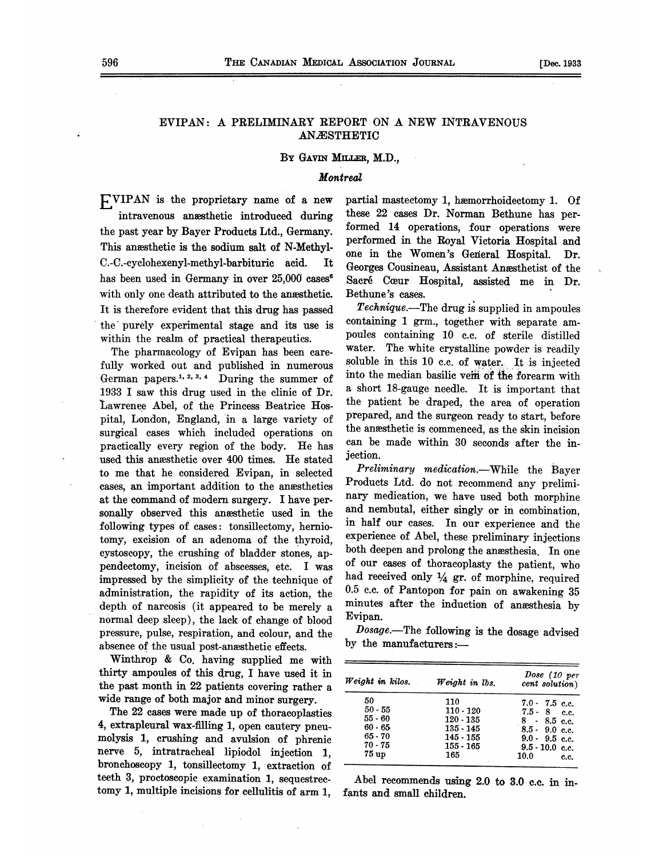## EVIPAN: A PRELIMINARY REPORT ON A NEW INTRAVENOUS ANASTHETIC

#### BY GAVIN MILLER, M.D.,

#### **Montreal**

EVIPAN is the proprietary name of <sup>a</sup> new intravenous anæsthetic introduced during the past year by Bayer Products Ltd., Germany. This anæsthetic is the sodium salt of N-Methyl-C.-C.-cyclohexenyl-methyl-barbituric acid. It has been used in Germany in over 25,000 cases<sup>6</sup> with only one death attributed to the anesthetic. It is therefore evident that this drug has passed the purely experimental stage and its use is within the realm' of practical therapeutics.

The pharmacology of Evipan has been carefully worked out and published in numerous German papers.<sup>1, 2, 3, 4</sup> During the summer of 1933 I saw this drug used in the clinic of Dr. Lawrenee Abel, of the Princess Beatrice Hospital, London, England, 'in a large variety of surgical cases which included operations on practically every region of the body. He has used this anesthetic over 400 times. He stated to me that he considered Evipan, in selected cases, an important addition to the anesthetics at the command of modern surgery. <sup>I</sup> have personally observed this anesthetic used in the following types of cases: tonsillectomy, herniotomy, excision of an adenoma of the thyroid, cystoscopy, the crushing of bladder stones, appendectomy, incision of abscesses, etc. I was impressed by the simplicity of the technique of administration, the rapidity of its action, the depth of narcosis (it appeared to be merely a normal deep sleep), the lack of change of blood pressure, pulse, respiration, and colour, and the absence of the usual post-anaesthetic effects.

Winthrop & Co. having supplied me with thirty ampoules of this drug, I have used it in the past month in 22 patients covering rather a wide range of both major and minor surgery.

The 22 cases were made up of thoracoplasties 4, extrapleural wax-filling 1, open cautery pneumolysis 1, crushing and avulsion of phrenic nerve 5, intratracheal lipiodol injection 1, bronchoscopy 1, tonsillectomy 1, extraction of teeth 3, proctoscopic examination 1, sequestrectomy 1, multiple incisions for cellulitis of arm 1, partial mastectomy 1, hwemorrhoidectomy 1. Of these 22 cases Dr. Norman Bethune has performed 14 operations, four operations were performed in the Royal Victoria Hospital and one in the Women's General Hospital. Dr. Georges Cousineau, Assistant Anesthetist of the Sacré Cœur Hospital, assisted me in Dr. Bethune's cases.

Technique.-The drug is supplied in ampoules containing 1 grm., together with separate ampoules containing 10 c.c. of sterile distilled water. The white crystalline powder is readily soluble in this 10 c.c. of water. It is injected into the median basilic vein of the forearm with a short 18-gauge needle. It is important that the patient be draped, the area of operation prepared, and the surgeon ready to start, before the anæsthetic is commenced, as the skin incision can be made within 30 seconds after the injection.

Preliminary medication.-- While the Bayer Products Ltd. do not recommend any preliminary medication, we have used both morphine and nembutal, either singly or in combination, in half our cases. In our experience and the experience of Abel, these preliminary injections both deepen and prolong the anaesthesia. In one of our cases of thoracoplasty the patient, who had received only  $\frac{1}{4}$  gr. of morphine, required 0.5 c.c. of Pantopon for pain on awakening 35 minutes after the induction of anasthesia by Evipan.

 $Dosage$ . The following is the dosage advised by the manufacturers:-

| Weight in $kilos$ . | Weight in lbs. | Dose (10 per<br>cent solution) |  |  |
|---------------------|----------------|--------------------------------|--|--|
| 50                  | 110            | $7.0 - 7.5$ c.c.               |  |  |
| $50 - 55$           | $110 - 120$    | $7.5 - 8$ c.c.                 |  |  |
| $55 - 60$           | $120 - 135$    | $8 - 8.5$ c.c.                 |  |  |
| $60 - 65$           | $135 - 145$    | $8.5 - 9.0$ c.c.               |  |  |
| $65 - 70$           | $145 - 155$    | $9.0 - 9.5$ c.c.               |  |  |
| $70 - 75$           | $155 - 165$    | $9.5 - 10.0$ c.c.              |  |  |
| 75 up               | 165            | 10.0<br>c.c.                   |  |  |

Abel recommends using 2.0 to 3.0 c.c. in infants and small children.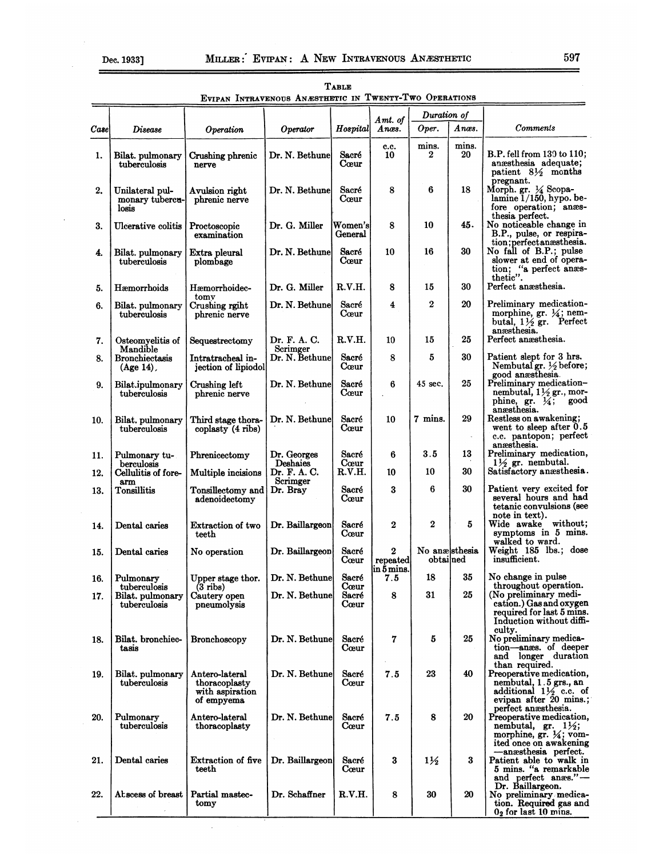|       |                                                  |                                                                  |                                      | TABLE                          |                                         |                            |             |                                                                                                                                        |
|-------|--------------------------------------------------|------------------------------------------------------------------|--------------------------------------|--------------------------------|-----------------------------------------|----------------------------|-------------|----------------------------------------------------------------------------------------------------------------------------------------|
|       |                                                  | EVIPAN INTRAVENOUS ANÆSTHETIC IN TWENTY-TWO OPERATIONS           |                                      |                                |                                         |                            |             |                                                                                                                                        |
|       |                                                  |                                                                  |                                      |                                | Amt. of                                 | Duration of                |             |                                                                                                                                        |
| Casel | <i>Disease</i>                                   | Operation                                                        | Operator                             | Hospital                       | Anæs.                                   | Oper.                      | Anæs.       | <b>Comments</b>                                                                                                                        |
| 1.    | Bilat. pulmonary<br>tuberculosis                 | Crushing phrenic<br>nerve                                        | Dr. N. Bethune                       | Sacré<br>Cœur                  | c.c.<br>10                              | mins.<br>$\boldsymbol{2}$  | mins.<br>20 | B.P. fell from 130 to 110;<br>anæsthesia adequate;<br>patient 81/2 months                                                              |
| 2.    | Unilateral pul-<br>monary tubercu-<br>losis      | Avulsion right<br>phrenic nerve                                  | Dr. N. Bethune                       | Sacré<br>Cœur                  | 8                                       | 6                          | 18          | pregnant.<br>Morph. gr. 14 Scopa-<br>lamine 1/150, hypo. be-<br>fore operation; anæs-<br>thesia perfect.                               |
| 3.    | Ulcerative colitis                               | Proctoscopic<br>examination                                      | Dr. G. Miller                        | Women's<br>General             | 8                                       | 10                         | 45.         | No noticeable change in<br>B.P., pulse, or respira-                                                                                    |
| 4.    | Bilat. pulmonary<br>tuberculosis                 | Extra pleural<br>plombage                                        | Dr. N. Bethune                       | Sacré<br>Cœur                  | 10                                      | 16                         | 30          | tion; perfect an as the sia.<br>No fall of B.P.; pulse<br>slower at end of opera-<br>tion; "a perfect anæs-<br>thetic".                |
| 5.    | Hæmorrhoids                                      | Hæmorrhoidec-<br>tomy                                            | Dr. G. Miller                        | R.V.H.                         | 8                                       | 15                         | 30          | Perfect angesthesia.                                                                                                                   |
| 6.    | Bilat. pulmonary<br>tuberculosis                 | Crushing rgiht<br>phrenic nerve                                  | Dr. N. Bethune                       | Sacré<br>Cœur                  | $\bf{4}$                                | $\boldsymbol{2}$           | 20          | Preliminary medication-<br>morphine, gr. 1/4; nem-<br>butal, $1\frac{1}{2}$ gr. Perfect<br>anæsthesia.                                 |
| 7.    | Osteomyelitis of<br>Mandible                     | Sequestrectomy                                                   | Dr. F. A. C.<br>Scrimger             | R.V.H.                         | 10                                      | 15                         | 25          | Perfect anæsthesia.                                                                                                                    |
| 8.    | <b>Bronchiectasis</b><br>$(Age 14)$ ,            | Intratracheal in-<br>jection of lipiodol                         | Dr. N. Bethune                       | Sacré<br>Cœur                  | 8                                       | 5                          | 30          | Patient slept for 3 hrs.<br>Nembutal gr. $\frac{1}{2}$ before;<br>good anæsthesia.                                                     |
| 9.    | Bilat.ipulmonary<br>tuberculosis                 | Crushing left<br>phrenic nerve                                   | Dr. N. Bethune                       | Sacré<br>Cœur                  | 6                                       | 45 sec.                    | 25          | Preliminary medication-<br>nembutal, 11/2 gr., mor-<br>phine, gr. $\frac{1}{4}$ ;<br>good<br>anæsthesia.                               |
| 10.   | Bilat. pulmonary<br>tuberculosis                 | Third stage thora-<br>coplasty (4 ribs)                          | Dr. N. Bethune                       | Sacré<br>$\operatorname{Ceur}$ | 10                                      | 7 mins.                    | 29          | Restless on awakening;<br>went to sleep after 0.5<br>c.c. pantopon; perfect<br>anæsthesia.                                             |
| 11.   | Pulmonary tu-                                    | Phrenicectomy                                                    | Dr. Georges                          | Sacré                          | 6                                       | 3.5                        | 13          | Preliminary medication,                                                                                                                |
| 12.   | berculosis<br>Cellulitis of fore-                | Multiple incisions                                               | Deshaies<br>Dr. F. A. C.<br>Scrimger | Cœur<br>R.V.H.                 | 10                                      | 10                         | 30          | $1\frac{1}{2}$ gr. nembutal.<br>Satisfactory anæsthesia.                                                                               |
| 13.   | arm<br>Tonsillitis                               | Tonsillectomy and<br>adenoidectomy                               | Dr. Bray                             | Sacré<br>Cœur                  | 3                                       | 6                          | 30          | Patient very excited for<br>several hours and had<br>tetanic convulsions (see<br>note in text).                                        |
| 14.   | Dental caries                                    | Extraction of two<br>teeth                                       | Dr. Baillargeon                      | Sacré<br>Cœur                  | $\boldsymbol{2}$                        | $\overline{2}$             | 5           | Wide awake without;<br>symptoms in 5 mins.<br>walked to ward.                                                                          |
| 15.   | Dental caries                                    | No operation                                                     | Dr. Baillargeon                      | Sacré<br>Cœur                  | $\mathbf{2}$<br>repeated<br>lin 5 mins. | No anælsthesia<br>obtained |             | Weight 185 lbs.; dose<br>insufficient.                                                                                                 |
| 16.   | Pulmonary                                        | Upper stage thor.                                                | Dr. N. Bethunel                      | Sacré<br>Cœur                  | 7.5                                     | 18                         | 35          | No change in pulse<br>throughout operation.                                                                                            |
| 17.   | tuberculosis<br>Bilat. pulmonary<br>tuberculosis | $(3$ ribs)<br>Cautery open<br>pneumolysis                        | Dr. N. Bethunel                      | Sacré<br>Cœur                  | 8                                       | 31                         | 25          | (No preliminary medi-<br>cation.) Gas and oxygen<br>required for last 5 mins.<br>Induction without diffi-                              |
| 18.   | Bilat. bronchiec-<br>tasis                       | Bronchoscopy                                                     | Dr. N. Bethune                       | Sacré<br>Cœur                  | 7                                       | $\bf{5}$                   | 25          | culty.<br>No preliminary medica-<br>tion-anses. of deeper<br>and longer duration                                                       |
| 19.   | Bilat. pulmonary<br>tuberculosis                 | Antero-lateral<br>thoracoplasty<br>with aspiration<br>of empyema | Dr. N. Bethune                       | Sacré<br>Cœur                  | 7.5                                     | 23                         | 40          | than required.<br>Preoperative medication,<br>nembutal, 1.5 grs., an<br>additional $1\frac{1}{2}$ c.c. of<br>evipan after 20 mins.;    |
| 20.   | Pulmonary<br>tuberculosis                        | Antero-lateral<br>thoracoplasty                                  | Dr. N. Bethune                       | Sacré<br>Cœur                  | 7.5                                     | 8                          | 20          | perfect anesthesia.<br>Preoperative medication,<br>nembutal, gr. $1\frac{1}{2}$ ;<br>morphine, gr. 1/4; vom-<br>ited once on awakening |
| 21.   | Dental caries                                    | <b>Extraction of five</b><br>teeth                               | Dr. Baillargeon                      | Sacré<br>Cœur                  | $\bf{3}$                                | $1\frac{1}{2}$             | $\bf{3}$    | -anæsthesia perfect.<br>Patient able to walk in<br>5 mins. "a remarkable<br>and perfect anges."-                                       |
| 22.   | Abscess of breast                                | Partial mastec-<br>tomy                                          | Dr. Schaffner                        | R.V.H.                         | 8                                       | 30                         | 20          | Dr. Baillargeon.<br>No preliminary medica-<br>tion. Required gas and<br>$02$ for last 10 mins.                                         |

 $\frac{1}{\sqrt{1-\frac{1}{\sqrt{1-\frac{1}{\sqrt{1-\frac{1}{\sqrt{1-\frac{1}{\sqrt{1-\frac{1}{\sqrt{1-\frac{1}{\sqrt{1-\frac{1}{\sqrt{1-\frac{1}{\sqrt{1-\frac{1}{\sqrt{1-\frac{1}{\sqrt{1-\frac{1}{\sqrt{1-\frac{1}{\sqrt{1-\frac{1}{\sqrt{1-\frac{1}{\sqrt{1-\frac{1}{\sqrt{1-\frac{1}{\sqrt{1-\frac{1}{\sqrt{1-\frac{1}{\sqrt{1-\frac{1}{\sqrt{1-\frac{1}{\sqrt{1-\frac{1}{\sqrt{1-\frac{1}{\sqrt{1-\frac{1}{\sqrt{1-\frac{1$ 

 $\mathcal{A}$ 

| TABLE |  |                                                        |  |  |  |  |
|-------|--|--------------------------------------------------------|--|--|--|--|
|       |  | EVIPAN INTRAVENOUS ANÆSTHETIC IN TWENTY-TWO OPERATIONS |  |  |  |  |